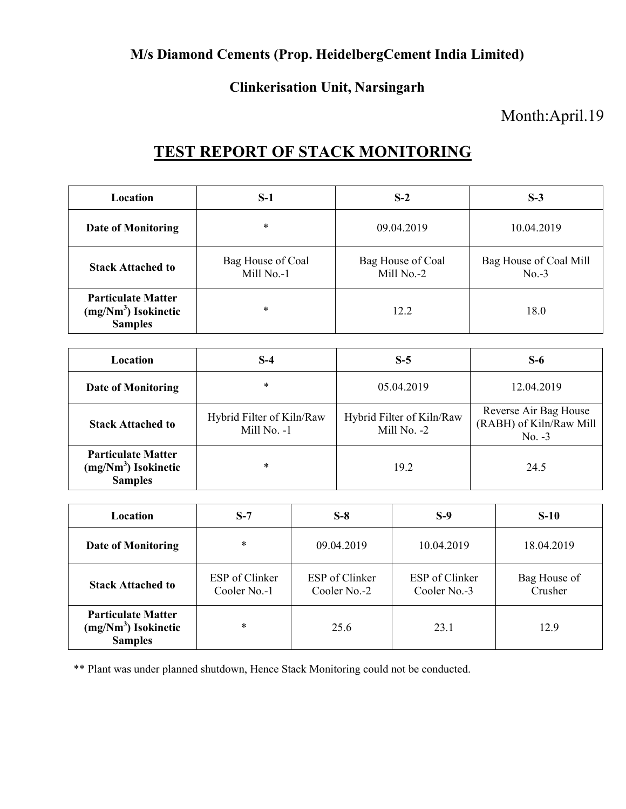### **M/s Diamond Cements (Prop. HeidelbergCement India Limited)**

#### **Clinkerisation Unit, Narsingarh**

## Month:April.19

# **TEST REPORT OF STACK MONITORING**

| Location                                                             | $S-1$                           | $S-2$                           | $S-3$                             |
|----------------------------------------------------------------------|---------------------------------|---------------------------------|-----------------------------------|
| <b>Date of Monitoring</b>                                            | *                               | 09.04.2019                      | 10.04.2019                        |
| <b>Stack Attached to</b>                                             | Bag House of Coal<br>Mill No.-1 | Bag House of Coal<br>Mill No.-2 | Bag House of Coal Mill<br>$No.-3$ |
| <b>Particulate Matter</b><br>$(mg/Nm3)$ Isokinetic<br><b>Samples</b> | *                               | 12.2                            | 18.0                              |

| Location                                                             | $S-4$                                    | $S-5$                                    | $S-6$                                                        |
|----------------------------------------------------------------------|------------------------------------------|------------------------------------------|--------------------------------------------------------------|
| Date of Monitoring                                                   | *                                        | 05.04.2019                               | 12.04.2019                                                   |
| <b>Stack Attached to</b>                                             | Hybrid Filter of Kiln/Raw<br>Mill No. -1 | Hybrid Filter of Kiln/Raw<br>Mill No. -2 | Reverse Air Bag House<br>(RABH) of Kiln/Raw Mill<br>$No. -3$ |
| <b>Particulate Matter</b><br>$(mg/Nm3)$ Isokinetic<br><b>Samples</b> | *                                        | 19.2                                     | 24.5                                                         |

| Location                                                             | $S-7$                          | $S-8$                          | $S-9$                          | $S-10$                  |
|----------------------------------------------------------------------|--------------------------------|--------------------------------|--------------------------------|-------------------------|
| <b>Date of Monitoring</b>                                            | $\ast$                         | 09.04.2019                     | 10.04.2019                     | 18.04.2019              |
| <b>Stack Attached to</b>                                             | ESP of Clinker<br>Cooler No.-1 | ESP of Clinker<br>Cooler No.-2 | ESP of Clinker<br>Cooler No.-3 | Bag House of<br>Crusher |
| <b>Particulate Matter</b><br>$(mg/Nm3)$ Isokinetic<br><b>Samples</b> | $\ast$                         | 25.6                           | 23.1                           | 12.9                    |

\*\* Plant was under planned shutdown, Hence Stack Monitoring could not be conducted.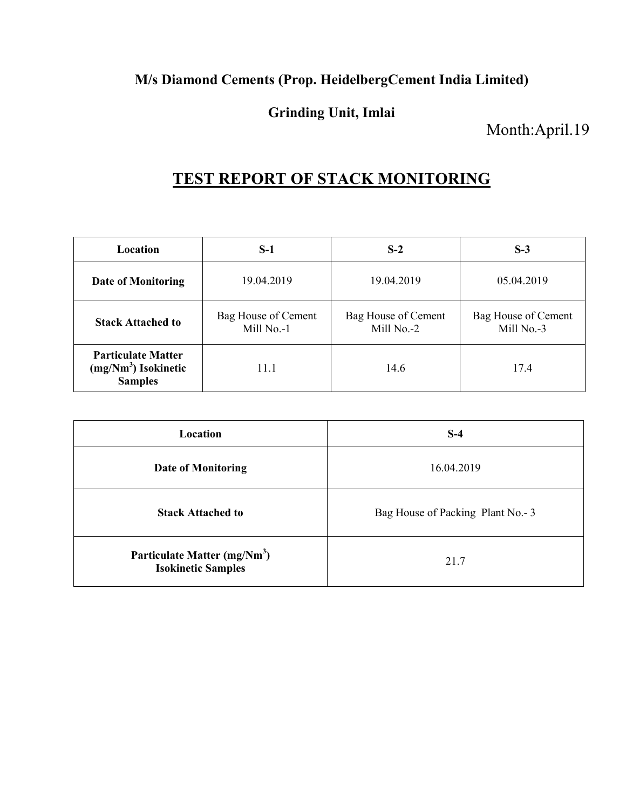### **M/s Diamond Cements (Prop. HeidelbergCement India Limited)**

### **Grinding Unit, Imlai**

Month:April.19

# **TEST REPORT OF STACK MONITORING**

| Location                                                             | $S-1$                             | $S-2$                             | $S-3$                             |
|----------------------------------------------------------------------|-----------------------------------|-----------------------------------|-----------------------------------|
| Date of Monitoring                                                   | 19.04.2019                        | 19.04.2019                        | 05.04.2019                        |
| <b>Stack Attached to</b>                                             | Bag House of Cement<br>Mill No.-1 | Bag House of Cement<br>Mill No.-2 | Bag House of Cement<br>Mill No.-3 |
| <b>Particulate Matter</b><br>$(mg/Nm3)$ Isokinetic<br><b>Samples</b> | 11.1                              | 14.6                              | 17.4                              |

| Location                                                              | $S-4$                            |
|-----------------------------------------------------------------------|----------------------------------|
| <b>Date of Monitoring</b>                                             | 16.04.2019                       |
| <b>Stack Attached to</b>                                              | Bag House of Packing Plant No.-3 |
| Particulate Matter (mg/Nm <sup>3</sup> )<br><b>Isokinetic Samples</b> | 21.7                             |